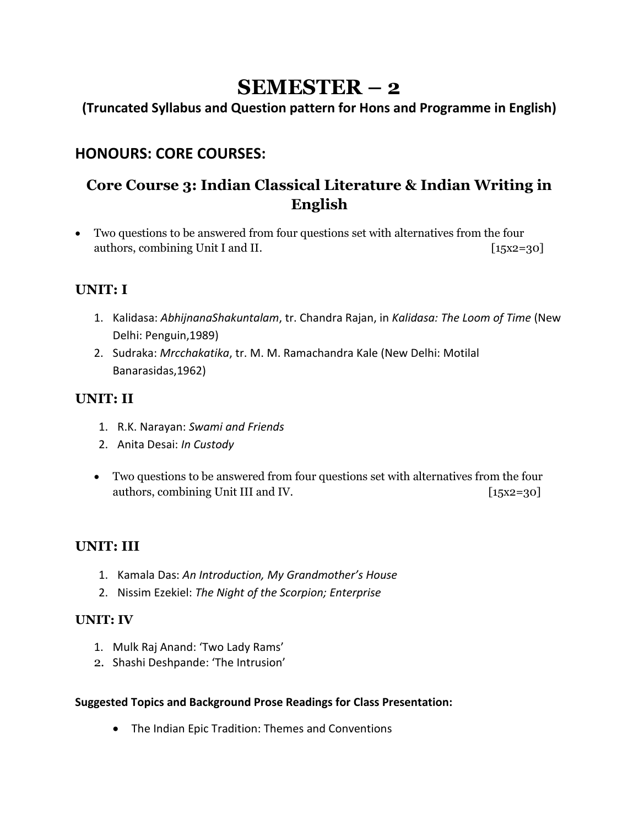# **SEMESTER – 2**

**(Truncated Syllabus and Question pattern for Hons and Programme in English)**

### **HONOURS: CORE COURSES:**

### **Core Course 3: Indian Classical Literature & Indian Writing in English**

• Two questions to be answered from four questions set with alternatives from the four authors, combining Unit I and II. [15x2=30]

### **UNIT: I**

- 1. Kalidasa: *AbhijnanaShakuntalam*, tr. Chandra Rajan, in *Kalidasa: The Loom of Time* (New Delhi: Penguin,1989)
- 2. Sudraka: *Mrcchakatika*, tr. M. M. Ramachandra Kale (New Delhi: Motilal Banarasidas,1962)

### **UNIT: II**

- 1. R.K. Narayan: *Swami and Friends*
- 2. Anita Desai: *In Custody*
- Two questions to be answered from four questions set with alternatives from the four authors, combining Unit III and IV. [15x2=30]

### **UNIT: III**

- 1. Kamala Das: *An Introduction, My Grandmother's House*
- 2. Nissim Ezekiel: *The Night of the Scorpion; Enterprise*

### **UNIT: IV**

- 1. Mulk Raj Anand: 'Two Lady Rams'
- 2. Shashi Deshpande: 'The Intrusion'

#### **Suggested Topics and Background Prose Readings for Class Presentation:**

• The Indian Epic Tradition: Themes and Conventions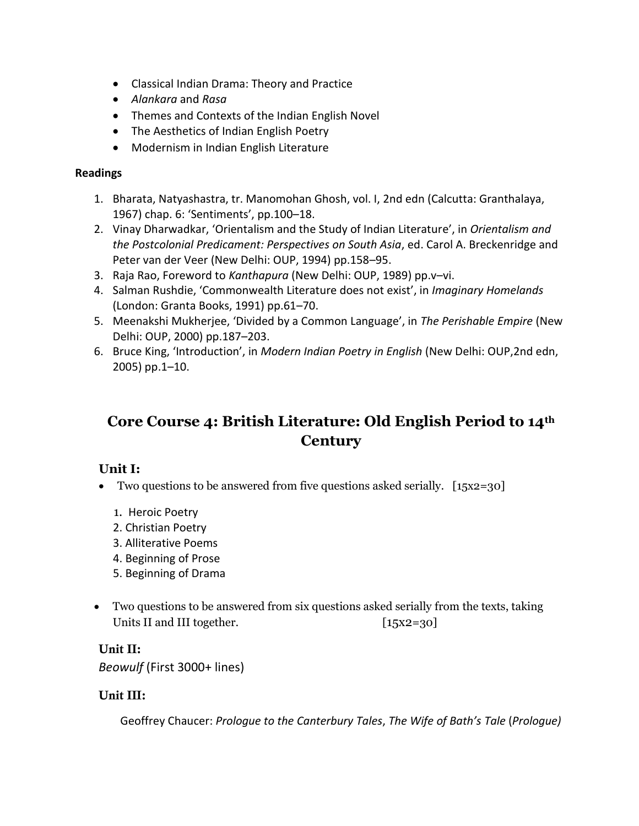- Classical Indian Drama: Theory and Practice
- *Alankara* and *Rasa*
- Themes and Contexts of the Indian English Novel
- The Aesthetics of Indian English Poetry
- Modernism in Indian English Literature

#### **Readings**

- 1. Bharata, Natyashastra, tr. Manomohan Ghosh, vol. I, 2nd edn (Calcutta: Granthalaya, 1967) chap. 6: 'Sentiments', pp.100–18.
- 2. Vinay Dharwadkar, 'Orientalism and the Study of Indian Literature', in *Orientalism and the Postcolonial Predicament: Perspectives on South Asia*, ed. Carol A. Breckenridge and Peter van der Veer (New Delhi: OUP, 1994) pp.158–95.
- 3. Raja Rao, Foreword to *Kanthapura* (New Delhi: OUP, 1989) pp.v–vi.
- 4. Salman Rushdie, 'Commonwealth Literature does not exist', in *Imaginary Homelands* (London: Granta Books, 1991) pp.61–70.
- 5. Meenakshi Mukherjee, 'Divided by a Common Language', in *The Perishable Empire* (New Delhi: OUP, 2000) pp.187–203.
- 6. Bruce King, 'Introduction', in *Modern Indian Poetry in English* (New Delhi: OUP,2nd edn, 2005) pp.1–10.

### **Core Course 4: British Literature: Old English Period to 14th Century**

### **Unit I:**

- Two questions to be answered from five questions asked serially. [15x2=30]
	- 1. Heroic Poetry
	- 2. Christian Poetry
	- 3. Alliterative Poems
	- 4. Beginning of Prose
	- 5. Beginning of Drama
- Two questions to be answered from six questions asked serially from the texts, taking Units II and III together. [15x2=30]

#### Unit II:

*Beowulf* (First 3000+ lines)

#### Unit III:

Geoffrey Chaucer: *Prologue to the Canterbury Tales*, *The Wife of Bath's Tale* (*Prologue)*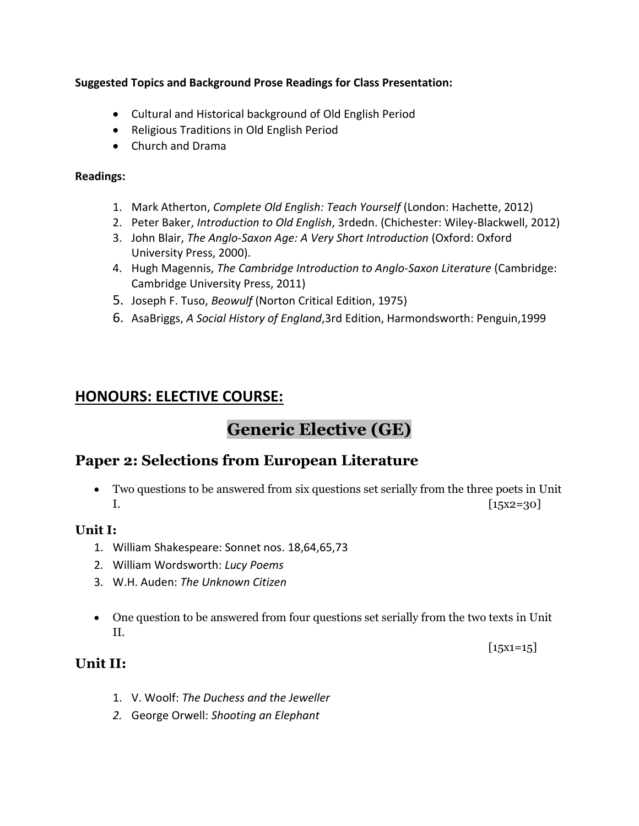#### **Suggested Topics and Background Prose Readings for Class Presentation:**

- Cultural and Historical background of Old English Period
- Religious Traditions in Old English Period
- Church and Drama

#### **Readings:**

- 1. Mark Atherton, *Complete Old English: Teach Yourself* (London: Hachette, 2012)
- 2. Peter Baker, *Introduction to Old English*, 3rdedn. (Chichester: Wiley-Blackwell, 2012)
- 3. John Blair, *The Anglo-Saxon Age: A Very Short Introduction* (Oxford: Oxford University Press, 2000).
- 4. Hugh Magennis, *The Cambridge Introduction to Anglo-Saxon Literature* (Cambridge: Cambridge University Press, 2011)
- 5. Joseph F. Tuso, *Beowulf* (Norton Critical Edition, 1975)
- 6. AsaBriggs, *A Social History of England*,3rd Edition, Harmondsworth: Penguin,1999

### **HONOURS: ELECTIVE COURSE:**

# **Generic Elective (GE)**

### **Paper 2: Selections from European Literature**

• Two questions to be answered from six questions set serially from the three poets in Unit  $[15x2=30]$ 

### **Unit I:**

- 1. William Shakespeare: Sonnet nos. 18,64,65,73
- 2. William Wordsworth: *Lucy Poems*
- 3. W.H. Auden: *The Unknown Citizen*
- One question to be answered from four questions set serially from the two texts in Unit II.

 $[15x1=15]$ 

### **Unit II:**

- 1. V. Woolf: *The Duchess and the Jeweller*
- *2.* George Orwell: *Shooting an Elephant*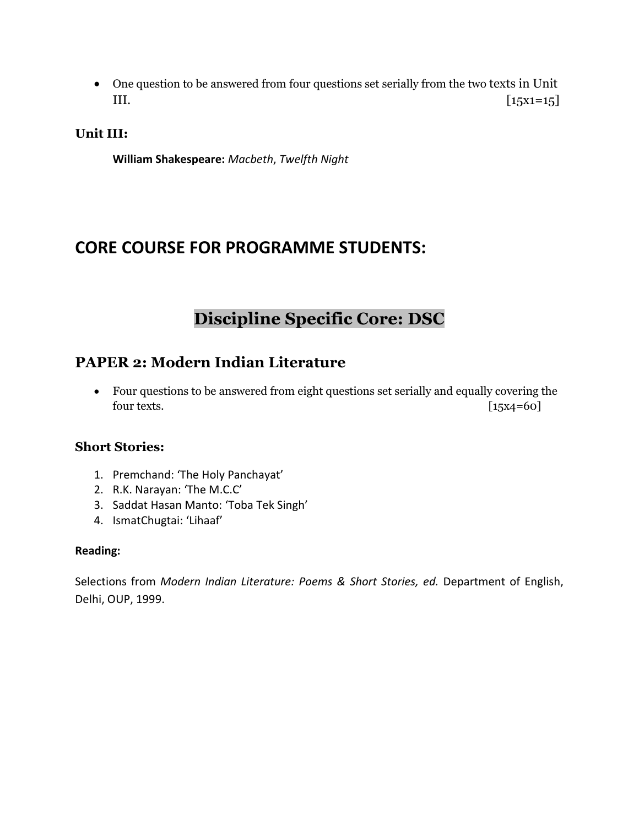• One question to be answered from four questions set serially from the two texts in Unit III.  $[15x1=15]$ 

**Unit III:**

**William Shakespeare:** *Macbeth*, *Twelfth Night*

## **CORE COURSE FOR PROGRAMME STUDENTS:**

# **Discipline Specific Core: DSC**

### **PAPER 2: Modern Indian Literature**

• Four questions to be answered from eight questions set serially and equally covering the four texts. [15x4=60]

### **Short Stories:**

- 1. Premchand: 'The Holy Panchayat'
- 2. R.K. Narayan: 'The M.C.C'
- 3. Saddat Hasan Manto: 'Toba Tek Singh'
- 4. IsmatChugtai: 'Lihaaf'

#### **Reading:**

Selections from *Modern Indian Literature: Poems & Short Stories, ed.* Department of English, Delhi, OUP, 1999.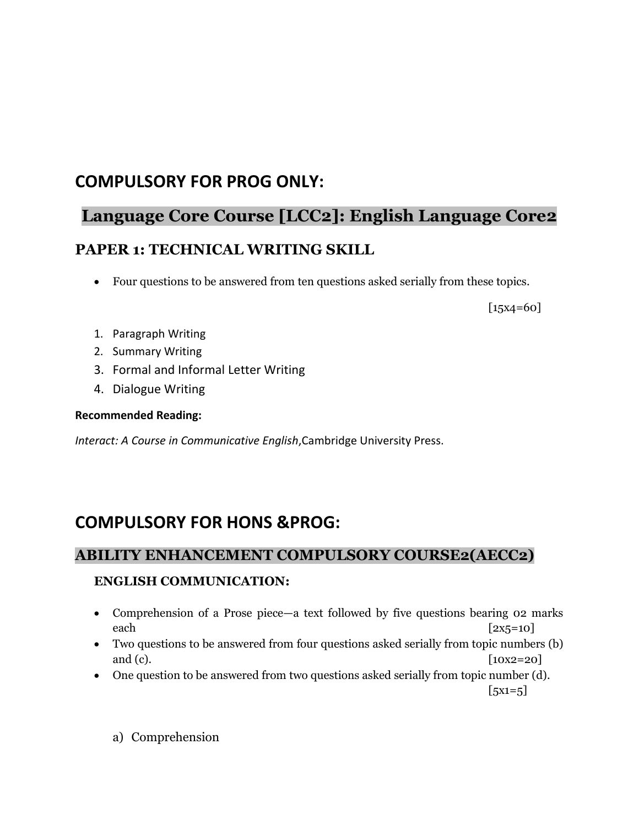## **COMPULSORY FOR PROG ONLY:**

# **Language Core Course [LCC2]: English Language Core2 PAPER 1: TECHNICAL WRITING SKILL**

• Four questions to be answered from ten questions asked serially from these topics.

[15x4=60]

- 1. Paragraph Writing
- 2. Summary Writing
- 3. Formal and Informal Letter Writing
- 4. Dialogue Writing

#### **Recommended Reading:**

*Interact: A Course in Communicative English*,Cambridge University Press.

# **COMPULSORY FOR HONS &PROG:**

### **ABILITY ENHANCEMENT COMPULSORY COURSE2(AECC2)**

### **ENGLISH COMMUNICATION:**

- Comprehension of a Prose piece—a text followed by five questions bearing 02 marks each  $[2x5=10]$
- Two questions to be answered from four questions asked serially from topic numbers (b) and (c).  $[10x2=20]$
- One question to be answered from two questions asked serially from topic number (d).  $[5x1=5]$ 
	- a) Comprehension